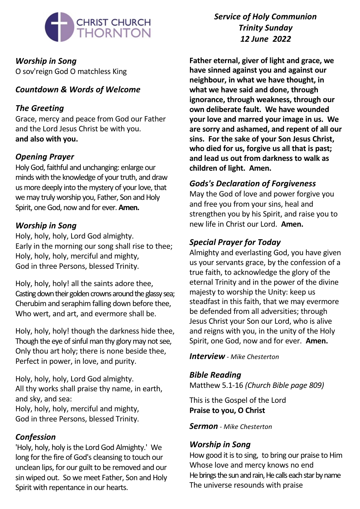

*Worship in Song* O sov'reign God O matchless King

# *Countdown & Words of Welcome*

## *The Greeting*

Grace, mercy and peace from God our Father and the Lord Jesus Christ be with you. **and also with you.**

# *Opening Prayer*

Holy God, faithful and unchanging: enlarge our minds with the knowledge of your truth, and draw us more deeply into the mystery of your love, that we may truly worship you, Father, Son and Holy Spirit, one God, now and for ever. **Amen.** 

## *Worship in Song*

Holy, holy, holy, Lord God almighty. Early in the morning our song shall rise to thee; Holy, holy, holy, merciful and mighty, God in three Persons, blessed Trinity.

Holy, holy, holy! all the saints adore thee, Casting down their golden crowns around the glassy sea; Cherubim and seraphim falling down before thee, Who wert, and art, and evermore shall be.

Holy, holy, holy! though the darkness hide thee, Though the eye of sinful man thy glory may not see, Only thou art holy; there is none beside thee, Perfect in power, in love, and purity.

Holy, holy, holy, Lord God almighty. All thy works shall praise thy name, in earth, and sky, and sea: Holy, holy, holy, merciful and mighty, God in three Persons, blessed Trinity.

## *Confession*

'Holy, holy, holy is the Lord God Almighty.' We long for the fire of God's cleansing to touch our unclean lips, for our guilt to be removed and our sin wiped out. So we meet Father, Son and Holy Spirit with repentance in our hearts.

*Service of Holy Communion Trinity Sunday 12 June 2022*

**Father eternal, giver of light and grace, we have sinned against you and against our neighbour, in what we have thought, in what we have said and done, through ignorance, through weakness, through our own deliberate fault. We have wounded your love and marred your image in us. We are sorry and ashamed, and repent of all our sins. For the sake of your Son Jesus Christ, who died for us, forgive us all that is past; and lead us out from darkness to walk as children of light. Amen.**

## *Gods's Declaration of Forgiveness*

May the God of love and power forgive you and free you from your sins, heal and strengthen you by his Spirit, and raise you to new life in Christ our Lord. **Amen.**

# *Special Prayer for Today*

Almighty and everlasting God, you have given us your servants grace, by the confession of a true faith, to acknowledge the glory of the eternal Trinity and in the power of the divine majesty to worship the Unity: keep us steadfast in this faith, that we may evermore be defended from all adversities; through Jesus Christ your Son our Lord, who is alive and reigns with you, in the unity of the Holy Spirit, one God, now and for ever. **Amen.**

### *Interview - Mike Chesterton*

## *Bible Reading*

Matthew 5.1-16 *(Church Bible page 809)*

This is the Gospel of the Lord **Praise to you, O Christ**

*Sermon - Mike Chesterton*

# *Worship in Song*

How good it is to sing, to bring our praise to Him Whose love and mercy knows no end He brings the sun and rain, He calls each star by name The universe resounds with praise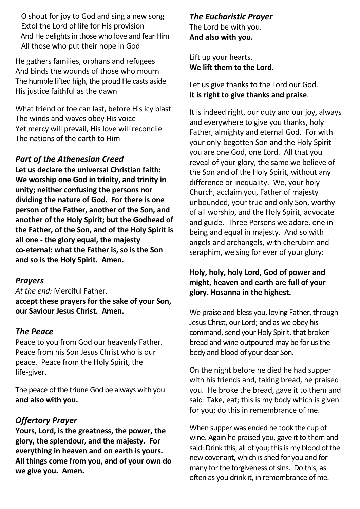O shout for joy to God and sing a new song Extol the Lord of life for His provision And He delights in those who love and fear Him All those who put their hope in God

He gathers families, orphans and refugees And binds the wounds of those who mourn The humble lifted high, the proud He casts aside His justice faithful as the dawn

What friend or foe can last, before His icy blast The winds and waves obey His voice Yet mercy will prevail, His love will reconcile The nations of the earth to Him

#### *Part of the Athenesian Creed*

**Let us declare the universal Christian faith: We worship one God in trinity, and trinity in unity; neither confusing the persons nor dividing the nature of God. For there is one person of the Father, another of the Son, and another of the Holy Spirit; but the Godhead of the Father, of the Son, and of the Holy Spirit is all one - the glory equal, the majesty co-eternal: what the Father is, so is the Son and so is the Holy Spirit. Amen.**

#### *Prayers*

*At the end:* Merciful Father, **accept these prayers for the sake of your Son, our Saviour Jesus Christ. Amen.**

#### *The Peace*

Peace to you from God our heavenly Father. Peace from his Son Jesus Christ who is our peace. Peace from the Holy Spirit, the life-giver.

The peace of the triune God be always with you **and also with you.**

### *Offertory Prayer*

**Yours, Lord, is the greatness, the power, the glory, the splendour, and the majesty. For everything in heaven and on earth is yours. All things come from you, and of your own do we give you. Amen.**

*The Eucharistic Prayer* The Lord be with you. **And also with you.**

Lift up your hearts. **We lift them to the Lord.**

Let us give thanks to the Lord our God. **It is right to give thanks and praise**.

It is indeed right, our duty and our joy, always and everywhere to give you thanks, holy Father, almighty and eternal God. For with your only-begotten Son and the Holy Spirit you are one God, one Lord. All that you reveal of your glory, the same we believe of the Son and of the Holy Spirit, without any difference or inequality. We, your holy Church, acclaim you, Father of majesty unbounded, your true and only Son, worthy of all worship, and the Holy Spirit, advocate and guide. Three Persons we adore, one in being and equal in majesty. And so with angels and archangels, with cherubim and seraphim, we sing for ever of your glory:

#### **Holy, holy, holy Lord, God of power and might, heaven and earth are full of your glory. Hosanna in the highest.**

We praise and bless you, loving Father, through Jesus Christ, our Lord; and as we obey his command, send your Holy Spirit, that broken bread and wine outpoured may be for us the body and blood of your dear Son.

On the night before he died he had supper with his friends and, taking bread, he praised you. He broke the bread, gave it to them and said: Take, eat; this is my body which is given for you; do this in remembrance of me.

When supper was ended he took the cup of wine. Again he praised you, gave it to them and said: Drink this, all of you; this is my blood of the new covenant, which is shed for you and for many for the forgiveness of sins. Do this, as often as you drink it, in remembrance of me.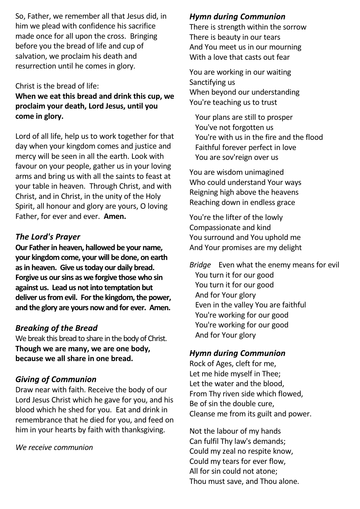So, Father, we remember all that Jesus did, in him we plead with confidence his sacrifice made once for all upon the cross. Bringing before you the bread of life and cup of salvation, we proclaim his death and resurrection until he comes in glory.

#### Christ is the bread of life:

**When we eat this bread and drink this cup, we proclaim your death, Lord Jesus, until you come in glory.**

Lord of all life, help us to work together for that day when your kingdom comes and justice and mercy will be seen in all the earth. Look with favour on your people, gather us in your loving arms and bring us with all the saints to feast at your table in heaven. Through Christ, and with Christ, and in Christ, in the unity of the Holy Spirit, all honour and glory are yours, O loving Father, for ever and ever. **Amen.**

### *The Lord's Prayer*

**Our Fatherin heaven, hallowed be your name, your kingdom come, your will be done, on earth asin heaven. Give ustoday our daily bread. Forgive us oursins as we forgive those who sin against us. Lead us notinto temptation but deliver usfrom evil. Forthe kingdom,the power, and the glory are yours nowand for ever. Amen.**

#### *Breaking of the Bread*

We break this bread to share in the body of Christ. **Though we are many, we are one body, because we all share in one bread.**

#### *Giving of Communion*

Draw near with faith. Receive the body of our Lord Jesus Christ which he gave for you, and his blood which he shed for you. Eat and drink in remembrance that he died for you, and feed on him in your hearts by faith with thanksgiving.

*We receive communion*

#### *Hymn during Communion*

There is strength within the sorrow There is beauty in our tears And You meet us in our mourning With a love that casts out fear

You are working in our waiting Sanctifying us When beyond our understanding You're teaching us to trust

 Your plans are still to prosper You've not forgotten us You're with us in the fire and the flood Faithful forever perfect in love You are sov'reign over us

You are wisdom unimagined Who could understand Your ways Reigning high above the heavens Reaching down in endless grace

You're the lifter of the lowly Compassionate and kind You surround and You uphold me And Your promises are my delight

*Bridge* Even what the enemy means for evil You turn it for our good You turn it for our good And for Your glory Even in the valley You are faithful You're working for our good You're working for our good And for Your glory

#### *Hymn during Communion*

Rock of Ages, cleft for me, Let me hide myself in Thee; Let the water and the blood, From Thy riven side which flowed, Be of sin the double cure, Cleanse me from its guilt and power.

Not the labour of my hands Can fulfil Thy law's demands; Could my zeal no respite know, Could my tears for ever flow, All for sin could not atone; Thou must save, and Thou alone.